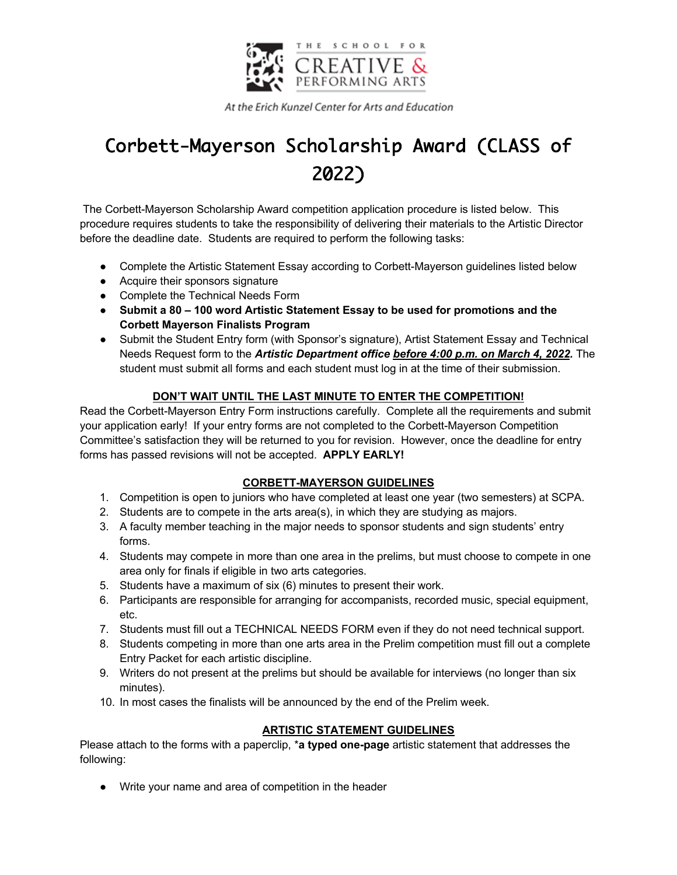

At the Erich Kunzel Center for Arts and Education

# Corbett-Mayerson Scholarship Award (CLASS of 2022)

The Corbett-Mayerson Scholarship Award competition application procedure is listed below. This procedure requires students to take the responsibility of delivering their materials to the Artistic Director before the deadline date. Students are required to perform the following tasks:

- Complete the Artistic Statement Essay according to Corbett-Mayerson guidelines listed below
- Acquire their sponsors signature
- Complete the Technical Needs Form
- **Submit a 80 – 100 word Artistic Statement Essay to be used for promotions and the Corbett Mayerson Finalists Program**
- Submit the Student Entry form (with Sponsor's signature), Artist Statement Essay and Technical Needs Request form to the *Artistic Department office before 4:00 p.m. on March 4, 2022.* The student must submit all forms and each student must log in at the time of their submission.

## **DON'T WAIT UNTIL THE LAST MINUTE TO ENTER THE COMPETITION!**

Read the Corbett-Mayerson Entry Form instructions carefully. Complete all the requirements and submit your application early! If your entry forms are not completed to the Corbett-Mayerson Competition Committee's satisfaction they will be returned to you for revision. However, once the deadline for entry forms has passed revisions will not be accepted. **APPLY EARLY!**

## **CORBETT-MAYERSON GUIDELINES**

- 1. Competition is open to juniors who have completed at least one year (two semesters) at SCPA.
- 2. Students are to compete in the arts area(s), in which they are studying as majors.
- 3. A faculty member teaching in the major needs to sponsor students and sign students' entry forms.
- 4. Students may compete in more than one area in the prelims, but must choose to compete in one area only for finals if eligible in two arts categories.
- 5. Students have a maximum of six (6) minutes to present their work.
- 6. Participants are responsible for arranging for accompanists, recorded music, special equipment, etc.
- 7. Students must fill out a TECHNICAL NEEDS FORM even if they do not need technical support.
- 8. Students competing in more than one arts area in the Prelim competition must fill out a complete Entry Packet for each artistic discipline.
- 9. Writers do not present at the prelims but should be available for interviews (no longer than six minutes).
- 10. In most cases the finalists will be announced by the end of the Prelim week.

## **ARTISTIC STATEMENT GUIDELINES**

Please attach to the forms with a paperclip, \***a typed one-page** artistic statement that addresses the following:

● Write your name and area of competition in the header